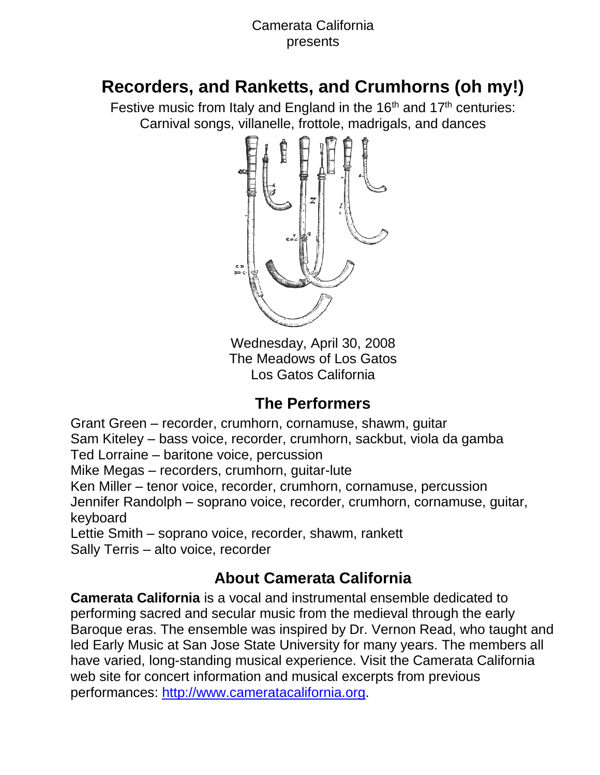### Camerata California presents

# **Recorders, and Ranketts, and Crumhorns (oh my!)**

Festive music from Italy and England in the  $16<sup>th</sup>$  and  $17<sup>th</sup>$  centuries: Carnival songs, villanelle, frottole, madrigals, and dances



Wednesday, April 30, 2008 The Meadows of Los Gatos Los Gatos California

## **The Performers**

Grant Green – recorder, crumhorn, cornamuse, shawm, guitar Sam Kiteley – bass voice, recorder, crumhorn, sackbut, viola da gamba Ted Lorraine – baritone voice, percussion Mike Megas – recorders, crumhorn, guitar-lute Ken Miller – tenor voice, recorder, crumhorn, cornamuse, percussion Jennifer Randolph – soprano voice, recorder, crumhorn, cornamuse, guitar, keyboard Lettie Smith – soprano voice, recorder, shawm, rankett Sally Terris – alto voice, recorder

## **About Camerata California**

**Camerata California** is a vocal and instrumental ensemble dedicated to performing sacred and secular music from the medieval through the early Baroque eras. The ensemble was inspired by Dr. Vernon Read, who taught and led Early Music at San Jose State University for many years. The members all have varied, long-standing musical experience. Visit the Camerata California web site for concert information and musical excerpts from previous performances: [http://www.cameratacalifornia.org.](http://www.cameratacalifornia.org/)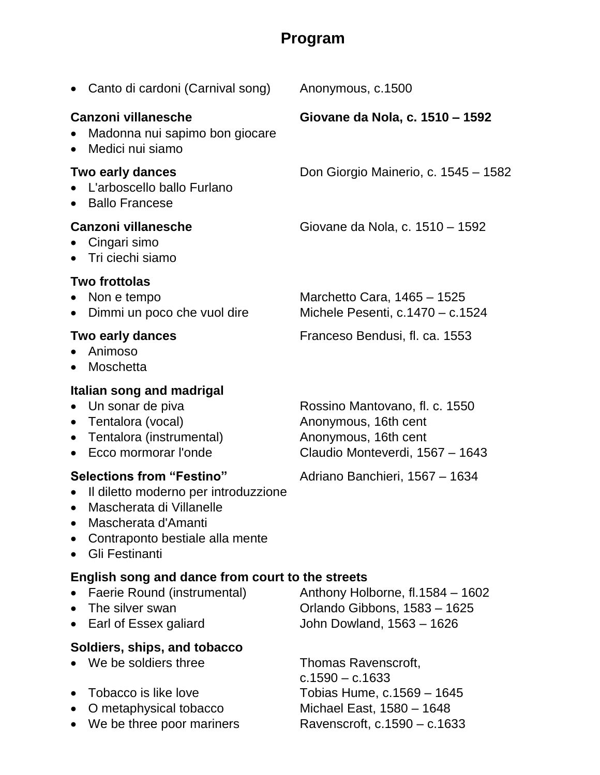# **Program**

|           | Canto di cardoni (Carnival song)                                                                                                                                                        | Anonymous, c.1500                                                                                                                   |
|-----------|-----------------------------------------------------------------------------------------------------------------------------------------------------------------------------------------|-------------------------------------------------------------------------------------------------------------------------------------|
|           | Canzoni villanesche<br>Madonna nui sapimo bon giocare<br>Medici nui siamo                                                                                                               | Giovane da Nola, c. 1510 – 1592                                                                                                     |
|           | Two early dances<br>L'arboscello ballo Furlano<br><b>Ballo Francese</b>                                                                                                                 | Don Giorgio Mainerio, c. 1545 - 1582                                                                                                |
|           | Canzoni villanesche<br>Cingari simo<br>Tri ciechi siamo                                                                                                                                 | Giovane da Nola, c. 1510 – 1592                                                                                                     |
|           | <b>Two frottolas</b><br>Non e tempo<br>Dimmi un poco che vuol dire                                                                                                                      | Marchetto Cara, 1465 - 1525<br>Michele Pesenti, c.1470 - c.1524                                                                     |
|           | Two early dances<br>Animoso<br>Moschetta                                                                                                                                                | Franceso Bendusi, fl. ca. 1553                                                                                                      |
| $\bullet$ | Italian song and madrigal<br>Un sonar de piva<br>• Tentalora (vocal)<br>Tentalora (instrumental)<br>Ecco mormorar l'onde                                                                | Rossino Mantovano, fl. c. 1550<br>Anonymous, 16th cent<br>Anonymous, 16th cent<br>Claudio Monteverdi, 1567 - 1643                   |
| $\bullet$ | <b>Selections from "Festino"</b><br>Il diletto moderno per introduzzione<br>Mascherata di Villanelle<br>Mascherata d'Amanti<br>Contraponto bestiale alla mente<br><b>Gli Festinanti</b> | Adriano Banchieri, 1567 - 1634                                                                                                      |
| $\bullet$ | English song and dance from court to the streets<br>Faerie Round (instrumental)<br>The silver swan<br>Earl of Essex galiard                                                             | Anthony Holborne, fl.1584 - 1602<br>Orlando Gibbons, 1583 - 1625<br>John Dowland, 1563 - 1626                                       |
|           | Soldiers, ships, and tobacco<br>We be soldiers three<br>Tobacco is like love<br>O metaphysical tobacco<br>We be three poor mariners                                                     | Thomas Ravenscroft,<br>$c.1590 - c.1633$<br>Tobias Hume, c.1569 - 1645<br>Michael East, 1580 - 1648<br>Ravenscroft, c.1590 – c.1633 |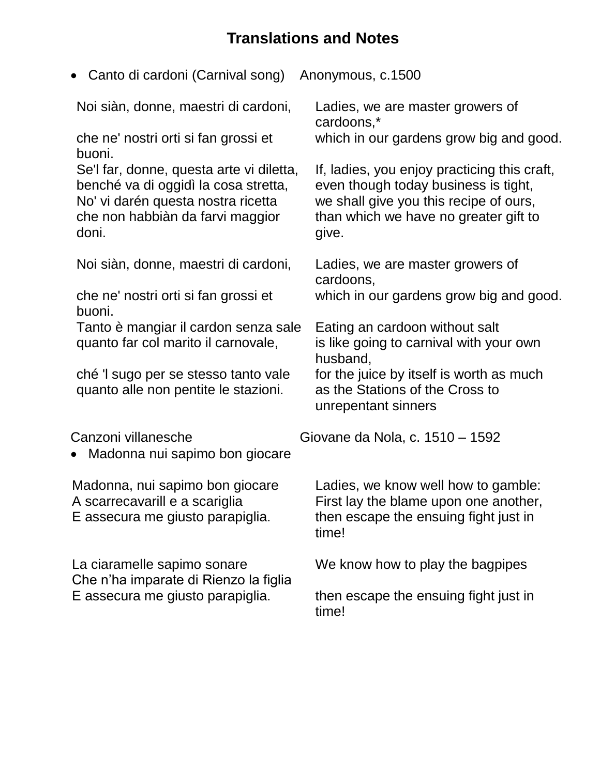## **Translations and Notes**

| • Canto di cardoni (Carnival song)                                                                    | Anonymous, c.1500                                                                                                              |
|-------------------------------------------------------------------------------------------------------|--------------------------------------------------------------------------------------------------------------------------------|
| Noi siàn, donne, maestri di cardoni,                                                                  | Ladies, we are master growers of                                                                                               |
| che ne' nostri orti si fan grossi et                                                                  | cardoons,*                                                                                                                     |
| buoni.                                                                                                | which in our gardens grow big and good.                                                                                        |
| Se'l far, donne, questa arte vi diletta,                                                              | If, ladies, you enjoy practicing this craft,                                                                                   |
| benché va di oggidì la cosa stretta,                                                                  | even though today business is tight,                                                                                           |
| No' vi darén questa nostra ricetta                                                                    | we shall give you this recipe of ours,                                                                                         |
| che non habbiàn da farvi maggior                                                                      | than which we have no greater gift to                                                                                          |
| doni.                                                                                                 | give.                                                                                                                          |
| Noi siàn, donne, maestri di cardoni,<br>che ne' nostri orti si fan grossi et                          | Ladies, we are master growers of<br>cardoons,<br>which in our gardens grow big and good.                                       |
| buoni.                                                                                                | Eating an cardoon without salt                                                                                                 |
| Tanto è mangiar il cardon senza sale                                                                  | is like going to carnival with your own                                                                                        |
| quanto far col marito il carnovale,                                                                   | husband,                                                                                                                       |
| ché 'l sugo per se stesso tanto vale                                                                  | for the juice by itself is worth as much                                                                                       |
| quanto alle non pentite le stazioni.                                                                  | as the Stations of the Cross to                                                                                                |
| Canzoni villanesche<br>Madonna nui sapimo bon giocare<br>$\bullet$                                    | unrepentant sinners<br>Giovane da Nola, c. 1510 - 1592                                                                         |
| Madonna, nui sapimo bon giocare<br>A scarrecavarill e a scariglia<br>E assecura me giusto parapiglia. | Ladies, we know well how to gamble:<br>First lay the blame upon one another,<br>then escape the ensuing fight just in<br>time! |
| La ciaramelle sapimo sonare                                                                           | We know how to play the bagpipes                                                                                               |
| Che n'ha imparate di Rienzo la figlia                                                                 | then escape the ensuing fight just in                                                                                          |
| E assecura me giusto parapiglia.                                                                      | time!                                                                                                                          |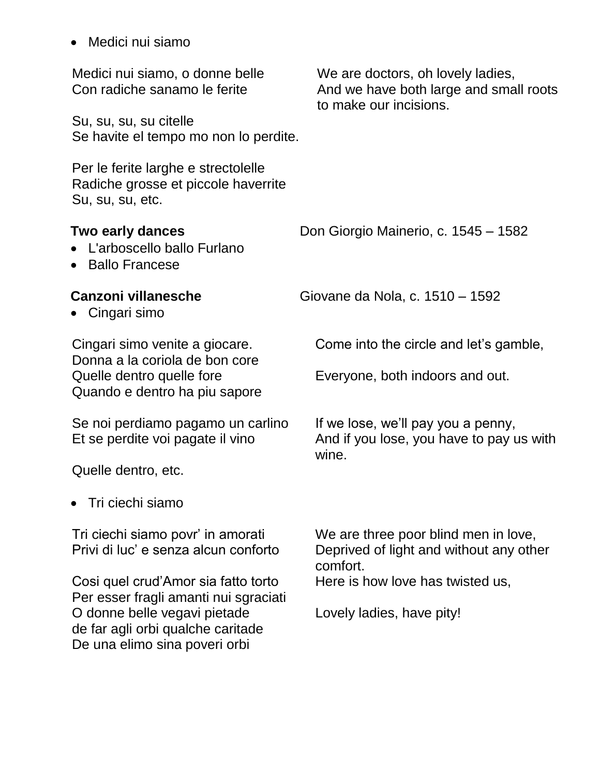| • Medici nui siamo                                                                                                             |                                                                                                       |
|--------------------------------------------------------------------------------------------------------------------------------|-------------------------------------------------------------------------------------------------------|
| Medici nui siamo, o donne belle<br>Con radiche sanamo le ferite                                                                | We are doctors, oh lovely ladies,<br>And we have both large and small roots<br>to make our incisions. |
| Su, su, su, su citelle<br>Se havite el tempo mo non lo perdite.                                                                |                                                                                                       |
| Per le ferite larghe e strectolelle<br>Radiche grosse et piccole haverrite<br>Su, su, su, etc.                                 |                                                                                                       |
| Two early dances<br>• L'arboscello ballo Furlano<br>• Ballo Francese                                                           | Don Giorgio Mainerio, c. 1545 – 1582                                                                  |
| <b>Canzoni villanesche</b><br>Cingari simo                                                                                     | Giovane da Nola, c. 1510 – 1592                                                                       |
| Cingari simo venite a giocare.<br>Donna a la coriola de bon core<br>Quelle dentro quelle fore<br>Quando e dentro ha piu sapore | Come into the circle and let's gamble,<br>Everyone, both indoors and out.                             |
| Se noi perdiamo pagamo un carlino<br>Et se perdite voi pagate il vino                                                          | If we lose, we'll pay you a penny,<br>And if you lose, you have to pay us with<br>wine.               |
| Quelle dentro, etc.                                                                                                            |                                                                                                       |
| • Tri ciechi siamo                                                                                                             |                                                                                                       |
| Tri ciechi siamo povr' in amorati<br>Privi di luc' e senza alcun conforto                                                      | We are three poor blind men in love,<br>Deprived of light and without any other<br>comfort.           |
| Cosi quel crud'Amor sia fatto torto<br>Per esser fragli amanti nui sgraciati                                                   | Here is how love has twisted us,                                                                      |
| O donne belle vegavi pietade<br>de far agli orbi qualche caritade<br>De una elimo sina poveri orbi                             | Lovely ladies, have pity!                                                                             |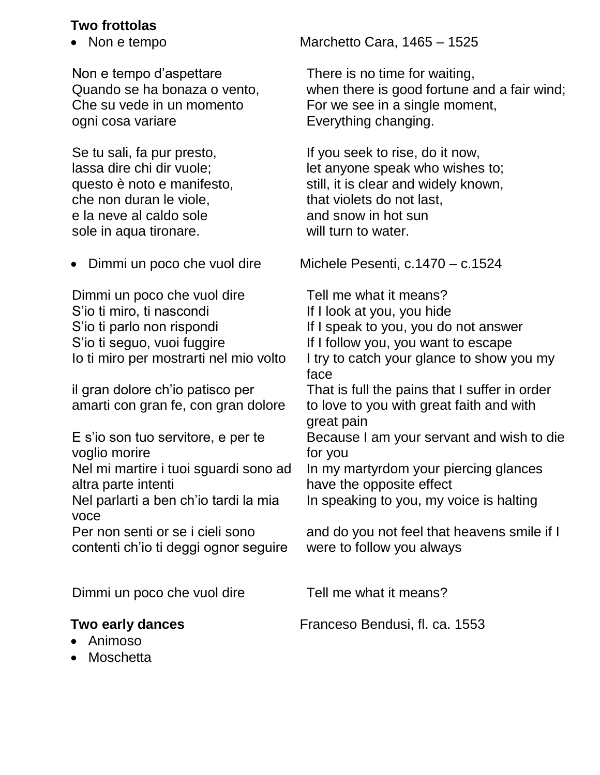### **Two frottolas**

Non e tempo d'aspettare There is no time for waiting, ogni cosa variare expression and the Everything changing.

che non duran le viole, that violets do not last, e la neve al caldo sole and snow in hot sun sole in aqua tironare. Will turn to water.

Dimmi un poco che vuol dire Tell me what it means? S'io ti miro, ti nascondi If I look at you, you hide S'io ti seguo, vuoi fuggire If I follow you, you want to escape

il gran dolore ch'io patisco per amarti con gran fe, con gran dolore

E s'io son tuo servitore, e per te voglio morire Nel mi martire i tuoi sguardi sono ad

altra parte intenti Nel parlarti a ben ch'io tardi la mia voce

Per non senti or se i cieli sono contenti ch'io ti deggi ognor seguire

Dimmi un poco che vuol dire Tell me what it means?

- Animoso
- Moschetta

• Non e tempo Marchetto Cara, 1465 – 1525

Quando se ha bonaza o vento, when there is good fortune and a fair wind; Che su vede in un momento For we see in a single moment,

Se tu sali, fa pur presto, If you seek to rise, do it now, lassa dire chi dir vuole; let anyone speak who wishes to; questo è noto e manifesto, still, it is clear and widely known,

• Dimmi un poco che vuol dire Michele Pesenti, c.1470 – c.1524

S'io ti parlo non rispondi If I speak to you, you do not answer Io ti miro per mostrarti nel mio volto I try to catch your glance to show you my face That is full the pains that I suffer in order to love to you with great faith and with great pain Because I am your servant and wish to die for you In my martyrdom your piercing glances have the opposite effect In speaking to you, my voice is halting and do you not feel that heavens smile if I

were to follow you always

**Two early dances** Franceso Bendusi, fl. ca. 1553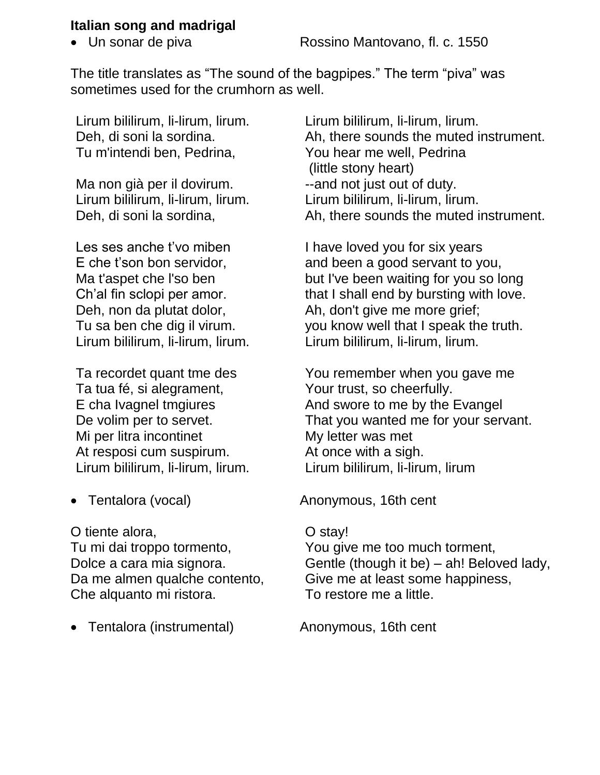### **Italian song and madrigal**

The title translates as "The sound of the bagpipes." The term "piva" was sometimes used for the crumhorn as well.

Lirum bililirum, li-lirum, lirum. Deh, di soni la sordina. Tu m'intendi ben, Pedrina,

Ma non già per il dovirum. Lirum bililirum, li-lirum, lirum. Deh, di soni la sordina,

Les ses anche t'vo miben E che t'son bon servidor, Ma t'aspet che l'so ben Ch'al fin sclopi per amor. Deh, non da plutat dolor, Tu sa ben che dig il virum. Lirum bililirum, li-lirum, lirum.

Ta recordet quant tme des Ta tua fé, si alegrament, E cha Ivagnel tmgiures De volim per to servet. Mi per litra incontinet At resposi cum suspirum. Lirum bililirum, li-lirum, lirum.

O tiente alora, Tu mi dai troppo tormento, Dolce a cara mia signora. Da me almen qualche contento, Che alquanto mi ristora.

• Tentalora (instrumental) Anonymous, 16th cent

Lirum bililirum, li-lirum, lirum. Ah, there sounds the muted instrument. You hear me well, Pedrina (little stony heart) --and not just out of duty. Lirum bililirum, li-lirum, lirum. Ah, there sounds the muted instrument.

I have loved you for six years and been a good servant to you, but I've been waiting for you so long that I shall end by bursting with love. Ah, don't give me more grief; you know well that I speak the truth. Lirum bililirum, li-lirum, lirum.

You remember when you gave me Your trust, so cheerfully. And swore to me by the Evangel That you wanted me for your servant. My letter was met At once with a sigh. Lirum bililirum, li-lirum, lirum

• Tentalora (vocal) Anonymous, 16th cent

### O stay!

You give me too much torment, Gentle (though it be) – ah! Beloved lady, Give me at least some happiness, To restore me a little.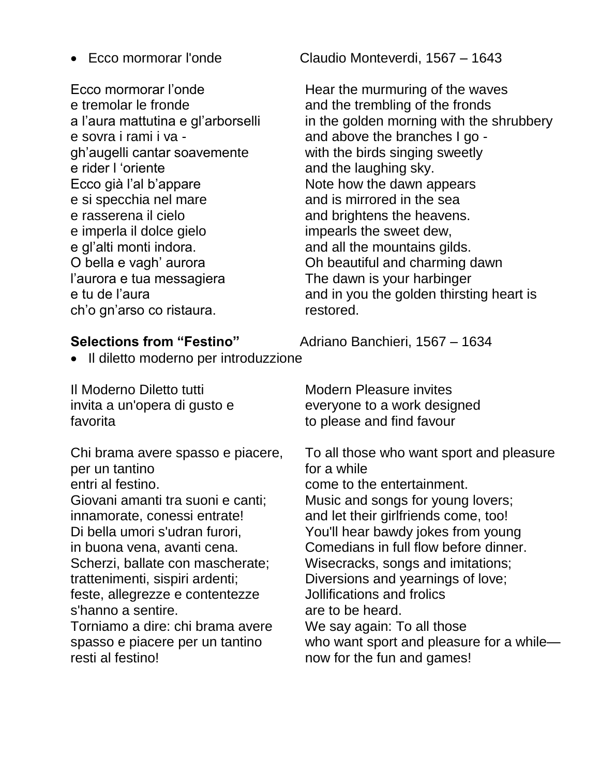Ecco mormorar l'onde e tremolar le fronde a l'aura mattutina e gl'arborselli e sovra i rami i va gh'augelli cantar soavemente e rider l 'oriente Ecco già l'al b'appare e si specchia nel mare e rasserena il cielo e imperla il dolce gielo e gl'alti monti indora. O bella e vagh' aurora l'aurora e tua messagiera e tu de l'aura ch'o gn'arso co ristaura.

• Il diletto moderno per introduzzione

Il Moderno Diletto tutti invita a un'opera di gusto e favorita

Chi brama avere spasso e piacere, per un tantino entri al festino.

Giovani amanti tra suoni e canti; innamorate, conessi entrate! Di bella umori s'udran furori, in buona vena, avanti cena. Scherzi, ballate con mascherate; trattenimenti, sispiri ardenti; feste, allegrezze e contentezze s'hanno a sentire. Torniamo a dire: chi brama avere spasso e piacere per un tantino resti al festino!

Ecco mormorar l'onde Claudio Monteverdi, 1567 – 1643

Hear the murmuring of the waves and the trembling of the fronds in the golden morning with the shrubbery and above the branches I go with the birds singing sweetly and the laughing sky. Note how the dawn appears and is mirrored in the sea and brightens the heavens. impearls the sweet dew, and all the mountains gilds. Oh beautiful and charming dawn The dawn is your harbinger and in you the golden thirsting heart is restored.

**Selections from "Festino"** Adriano Banchieri, 1567 – 1634

Modern Pleasure invites everyone to a work designed to please and find favour

To all those who want sport and pleasure for a while come to the entertainment. Music and songs for young lovers; and let their girlfriends come, too! You'll hear bawdy jokes from young Comedians in full flow before dinner. Wisecracks, songs and imitations; Diversions and yearnings of love; Jollifications and frolics are to be heard. We say again: To all those who want sport and pleasure for a while now for the fun and games!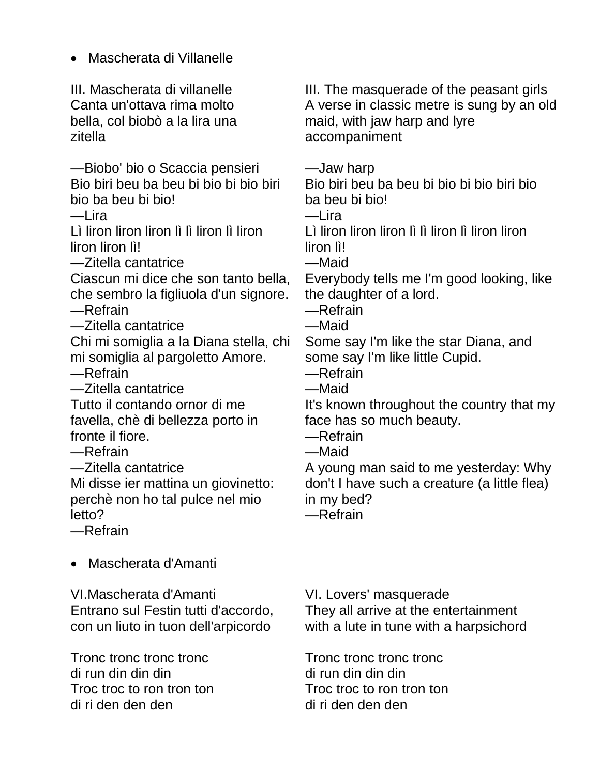Mascherata di Villanelle

III. Mascherata di villanelle Canta un'ottava rima molto bella, col biobò a la lira una zitella

—Biobo' bio o Scaccia pensieri Bio biri beu ba beu bi bio bi bio biri bio ba beu bi bio!

—Lira

Lì liron liron liron lì lì liron lì liron liron liron lì!

—Zitella cantatrice

Ciascun mi dice che son tanto bella, che sembro la figliuola d'un signore.

—Refrain

—Zitella cantatrice

Chi mi somiglia a la Diana stella, chi mi somiglia al pargoletto Amore.

—Refrain

—Zitella cantatrice

Tutto il contando ornor di me favella, chè di bellezza porto in fronte il fiore.

—Refrain

—Zitella cantatrice

Mi disse ier mattina un giovinetto: perchè non ho tal pulce nel mio letto?

—Refrain

Mascherata d'Amanti

VI.Mascherata d'Amanti Entrano sul Festin tutti d'accordo, con un liuto in tuon dell'arpicordo

Tronc tronc tronc tronc di run din din din Troc troc to ron tron ton di ri den den den

III. The masquerade of the peasant girls A verse in classic metre is sung by an old maid, with jaw harp and lyre accompaniment

—Jaw harp

Bio biri beu ba beu bi bio bi bio biri bio ba beu bi bio!

 $-$ l ira

Lì liron liron liron lì lì liron lì liron liron liron lì!

—Maid

Everybody tells me I'm good looking, like the daughter of a lord.

—Refrain

—Maid

Some say I'm like the star Diana, and some say I'm like little Cupid.

—Refrain

—Maid

It's known throughout the country that my face has so much beauty.

—Refrain

—Maid

A young man said to me yesterday: Why don't I have such a creature (a little flea) in my bed?

—Refrain

VI. Lovers' masquerade They all arrive at the entertainment with a lute in tune with a harpsichord

Tronc tronc tronc tronc di run din din din Troc troc to ron tron ton di ri den den den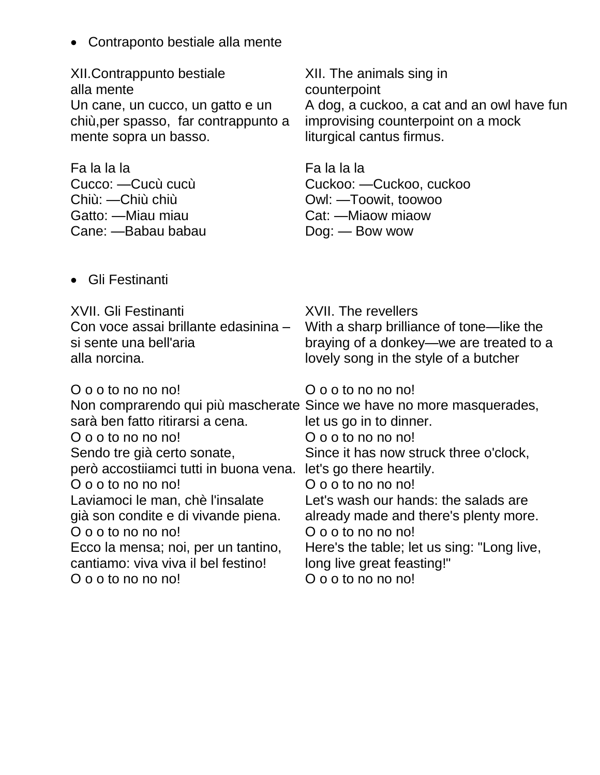Contraponto bestiale alla mente

XII.Contrappunto bestiale alla mente Un cane, un cucco, un gatto e un chiù,per spasso, far contrappunto a mente sopra un basso.

Fa la la la Cucco: —Cucù cucù Chiù: —Chiù chiù Gatto: —Miau miau Cane: —Babau babau

XII. The animals sing in counterpoint A dog, a cuckoo, a cat and an owl have fun improvising counterpoint on a mock liturgical cantus firmus.

Fa la la la Cuckoo: —Cuckoo, cuckoo Owl: —Toowit, toowoo Cat: —Miaow miaow Dog: — Bow wow

Gli Festinanti

XVII. Gli Festinanti Con voce assai brillante edasinina – si sente una bell'aria alla norcina.

O o o to no no no! Non comprarendo qui più mascherate, Since we have no more masquerades, sarà ben fatto ritirarsi a cena. O o o to no no no! Sendo tre già certo sonate, però accostiiamci tutti in buona vena. let's go there heartily. O o o to no no no! Laviamoci le man, chè l'insalate già son condite e di vivande piena. O o o to no no no! Ecco la mensa; noi, per un tantino, cantiamo: viva viva il bel festino! O o o to no no no!

XVII. The revellers With a sharp brilliance of tone—like the braying of a donkey—we are treated to a lovely song in the style of a butcher

O o o to no no no! let us go in to dinner. O o o to no no no! Since it has now struck three o'clock, O o o to no no no! Let's wash our hands: the salads are already made and there's plenty more. O o o to no no no! Here's the table; let us sing: "Long live, long live great feasting!" O o o to no no no!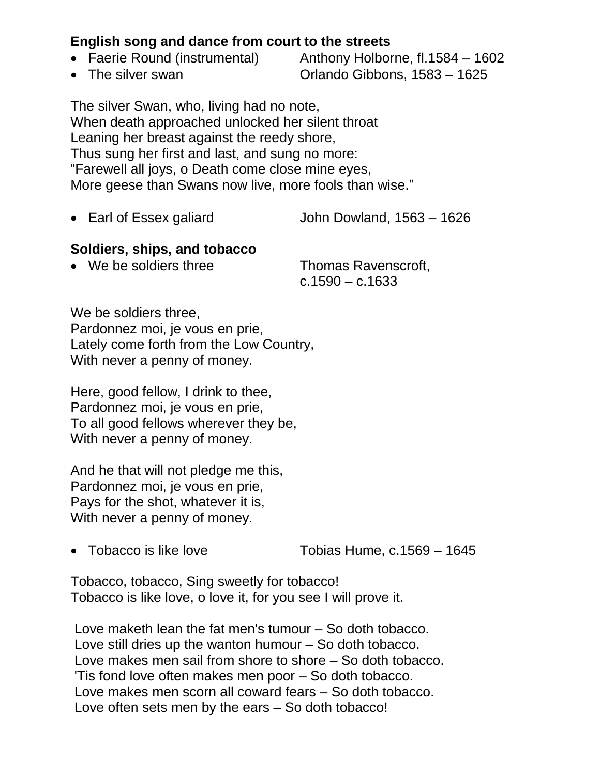### **English song and dance from court to the streets**

- Faerie Round (instrumental) Anthony Holborne, fl.1584 1602
- The silver swan Crlando Gibbons, 1583 1625

The silver Swan, who, living had no note, When death approached unlocked her silent throat Leaning her breast against the reedy shore, Thus sung her first and last, and sung no more: "Farewell all joys, o Death come close mine eyes, More geese than Swans now live, more fools than wise."

• Earl of Essex galiard John Dowland, 1563 – 1626

### **Soldiers, ships, and tobacco**

• We be soldiers three Thomas Ravenscroft,

c.1590 – c.1633

We be soldiers three, Pardonnez moi, je vous en prie, Lately come forth from the Low Country, With never a penny of money.

Here, good fellow, I drink to thee, Pardonnez moi, je vous en prie, To all good fellows wherever they be, With never a penny of money.

And he that will not pledge me this, Pardonnez moi, je vous en prie, Pays for the shot, whatever it is, With never a penny of money.

• Tobacco is like love Tobias Hume, c.1569 – 1645

Tobacco, tobacco, Sing sweetly for tobacco! Tobacco is like love, o love it, for you see I will prove it.

Love maketh lean the fat men's tumour – So doth tobacco. Love still dries up the wanton humour – So doth tobacco. Love makes men sail from shore to shore – So doth tobacco. 'Tis fond love often makes men poor – So doth tobacco. Love makes men scorn all coward fears – So doth tobacco. Love often sets men by the ears – So doth tobacco!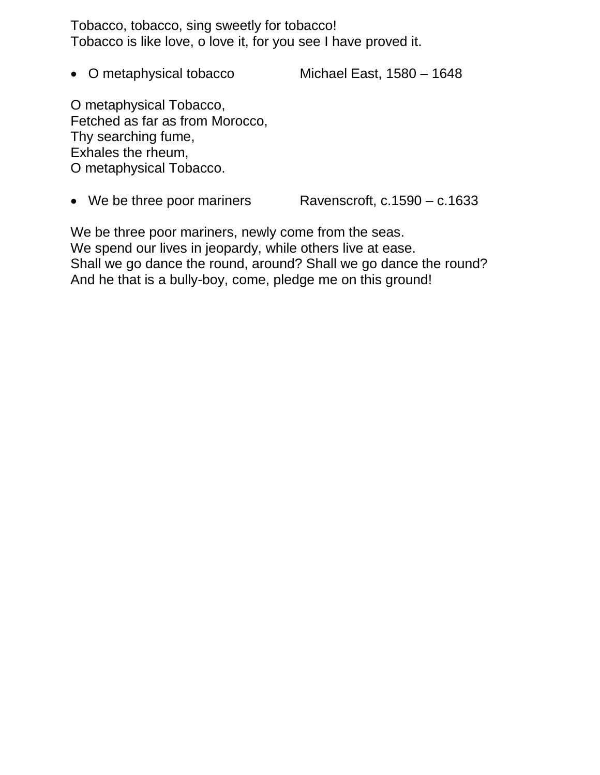Tobacco, tobacco, sing sweetly for tobacco! Tobacco is like love, o love it, for you see I have proved it.

O metaphysical tobacco Michael East, 1580 – 1648

O metaphysical Tobacco, Fetched as far as from Morocco, Thy searching fume, Exhales the rheum, O metaphysical Tobacco.

• We be three poor mariners Ravenscroft, c.1590 – c.1633

We be three poor mariners, newly come from the seas. We spend our lives in jeopardy, while others live at ease. Shall we go dance the round, around? Shall we go dance the round? And he that is a bully-boy, come, pledge me on this ground!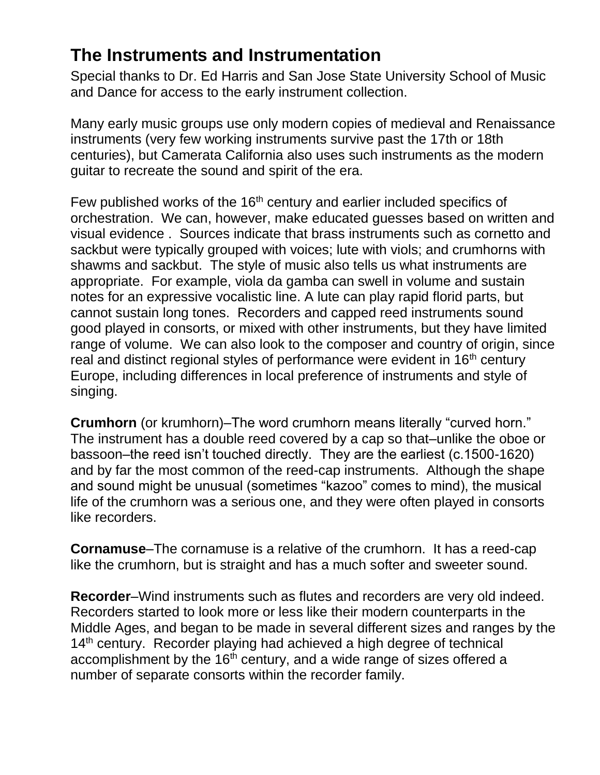## **The Instruments and Instrumentation**

Special thanks to Dr. Ed Harris and San Jose State University School of Music and Dance for access to the early instrument collection.

Many early music groups use only modern copies of medieval and Renaissance instruments (very few working instruments survive past the 17th or 18th centuries), but Camerata California also uses such instruments as the modern guitar to recreate the sound and spirit of the era.

Few published works of the 16<sup>th</sup> century and earlier included specifics of orchestration. We can, however, make educated guesses based on written and visual evidence . Sources indicate that brass instruments such as cornetto and sackbut were typically grouped with voices; lute with viols; and crumhorns with shawms and sackbut. The style of music also tells us what instruments are appropriate. For example, viola da gamba can swell in volume and sustain notes for an expressive vocalistic line. A lute can play rapid florid parts, but cannot sustain long tones. Recorders and capped reed instruments sound good played in consorts, or mixed with other instruments, but they have limited range of volume. We can also look to the composer and country of origin, since real and distinct regional styles of performance were evident in 16<sup>th</sup> century Europe, including differences in local preference of instruments and style of singing.

**Crumhorn** (or krumhorn)–The word crumhorn means literally "curved horn." The instrument has a double reed covered by a cap so that–unlike the oboe or bassoon–the reed isn't touched directly. They are the earliest (c.1500-1620) and by far the most common of the reed-cap instruments. Although the shape and sound might be unusual (sometimes "kazoo" comes to mind), the musical life of the crumhorn was a serious one, and they were often played in consorts like recorders.

**Cornamuse**–The cornamuse is a relative of the crumhorn. It has a reed-cap like the crumhorn, but is straight and has a much softer and sweeter sound.

**Recorder**–Wind instruments such as flutes and recorders are very old indeed. Recorders started to look more or less like their modern counterparts in the Middle Ages, and began to be made in several different sizes and ranges by the 14<sup>th</sup> century. Recorder playing had achieved a high degree of technical accomplishment by the 16<sup>th</sup> century, and a wide range of sizes offered a number of separate consorts within the recorder family.